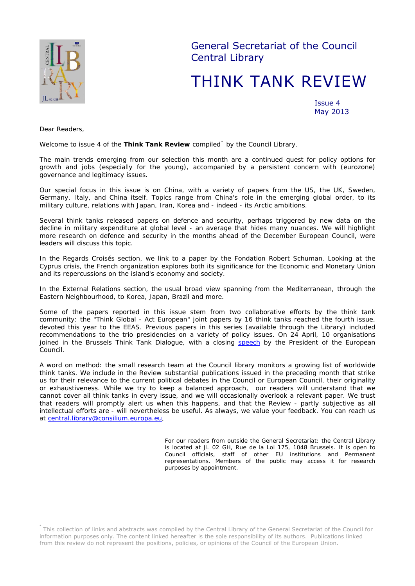

General Secretariat of the Council Central Library

# THINK TANK REVIEW

Issue 4 May 2013

*Dear Readers,* 

 $\overline{a}$ 

*Welcome to issue 4 of the Think Tank Review compiled[\\*](#page-0-0) by the Council Library.* 

The main trends emerging from our selection this month are a continued quest for policy options for *growth and jobs (especially for the young), accompanied by a persistent concern with (eurozone) governance and legitimacy issues.* 

*Our special focus in this issue is on China, with a variety of papers from the US, the UK, Sweden, Germany, Italy, and China itself. Topics range from China's role in the emerging global order, to its military culture, relations with Japan, Iran, Korea and - indeed - its Arctic ambitions.* 

*Several think tanks released papers on defence and security, perhaps triggered by new data on the decline in military expenditure at global level - an average that hides many nuances. We will highlight more research on defence and security in the months ahead of the December European Council, were leaders will discuss this topic.* 

In the Regards Croisés section, we link to a paper by the Fondation Robert Schuman. Looking at the *Cyprus crisis, the French organization explores both its significance for the Economic and Monetary Union and its repercussions on the island's economy and society.* 

*In the External Relations section, the usual broad view spanning from the Mediterranean, through the Eastern Neighbourhood, to Korea, Japan, Brazil and more.* 

*Some of the papers reported in this issue stem from two collaborative efforts by the think tank community: the "Think Global - Act European" joint papers by 16 think tanks reached the fourth issue, devoted this year to the EEAS. Previous papers in this series (available through the Library) included recommendations to the trio presidencies on a variety of policy issues. On 24 April, 10 organisations joined in the Brussels Think Tank Dialogue, with a closing [speech](http://www.consilium.europa.eu/uedocs/cms_data/docs/pressdata/en/ec/136916.pdf) by the President of the European Council.* 

*A word on method: the small research team at the Council library monitors a growing list of worldwide think tanks. We include in the Review substantial publications issued in the preceding month that strike us for their relevance to the current political debates in the Council or European Council, their originality or exhaustiveness. While we try to keep a balanced approach, our readers will understand that we cannot cover all think tanks in every issue, and we will occasionally overlook a relevant paper. We trust that readers will promptly alert us when this happens, and that the Review - partly subjective as all intellectual efforts are - will nevertheless be useful. As always, we value your feedback. You can reach us at [central.library@consilium.europa.eu](mailto:central.library@consilium.europa.eu).* 

> *For our readers from outside the General Secretariat: the Central Library is located at JL 02 GH, Rue de la Loi 175, 1048 Brussels. It is open to Council officials, staff of other EU institutions and Permanent representations. Members of the public may access it for research purposes by appointment.*

<span id="page-0-0"></span>This collection of links and abstracts was compiled by the Central Library of the General Secretariat of the Council for information purposes only. The content linked hereafter is the sole responsibility of its authors. Publications linked from this review do not represent the positions, policies, or opinions of the Council of the European Union.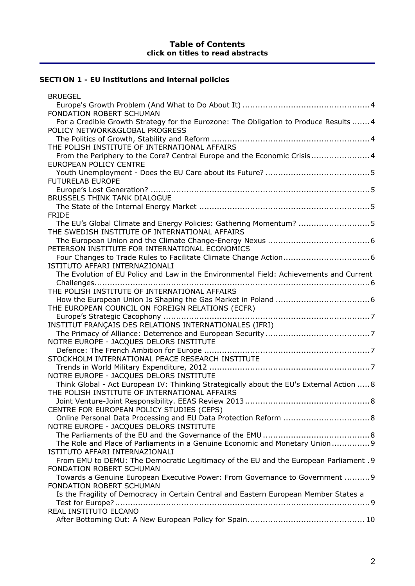## **Table of Contents click on titles to read abstracts**

## **[SECTION 1 - EU institutions and internal policies](#page-3-0)**

| <b>BRUEGEL</b>                                                                           |
|------------------------------------------------------------------------------------------|
|                                                                                          |
| FONDATION ROBERT SCHUMAN                                                                 |
| For a Credible Growth Strategy for the Eurozone: The Obligation to Produce Results  4    |
| POLICY NETWORK&GLOBAL PROGRESS                                                           |
|                                                                                          |
| THE POLISH INSTITUTE OF INTERNATIONAL AFFAIRS                                            |
| From the Periphery to the Core? Central Europe and the Economic Crisis4                  |
| <b>EUROPEAN POLICY CENTRE</b>                                                            |
|                                                                                          |
| <b>FUTURELAB EUROPE</b>                                                                  |
|                                                                                          |
| <b>BRUSSELS THINK TANK DIALOGUE</b>                                                      |
|                                                                                          |
| <b>FRIDE</b>                                                                             |
| The EU's Global Climate and Energy Policies: Gathering Momentum? 5                       |
| THE SWEDISH INSTITUTE OF INTERNATIONAL AFFAIRS                                           |
|                                                                                          |
| PETERSON INSTITUTE FOR INTERNATIONAL ECONOMICS                                           |
|                                                                                          |
| ISTITUTO AFFARI INTERNAZIONALI                                                           |
| The Evolution of EU Policy and Law in the Environmental Field: Achievements and Current  |
|                                                                                          |
| THE POLISH INSTITUTE OF INTERNATIONAL AFFAIRS                                            |
|                                                                                          |
| THE EUROPEAN COUNCIL ON FOREIGN RELATIONS (ECFR)                                         |
|                                                                                          |
| INSTITUT FRANÇAIS DES RELATIONS INTERNATIONALES (IFRI)                                   |
|                                                                                          |
| NOTRE EUROPE - JACQUES DELORS INSTITUTE                                                  |
|                                                                                          |
| STOCKHOLM INTERNATIONAL PEACE RESEARCH INSTITUTE                                         |
|                                                                                          |
| NOTRE EUROPE - JACQUES DELORS INSTITUTE                                                  |
| Think Global - Act European IV: Thinking Strategically about the EU's External Action  8 |
| THE POLISH INSTITUTE OF INTERNATIONAL AFFAIRS                                            |
|                                                                                          |
| CENTRE FOR EUROPEAN POLICY STUDIES (CEPS)                                                |
|                                                                                          |
| NOTRE EUROPE - JACQUES DELORS INSTITUTE                                                  |
|                                                                                          |
| The Role and Place of Parliaments in a Genuine Economic and Monetary Union 9             |
| ISTITUTO AFFARI INTERNAZIONALI                                                           |
| From EMU to DEMU: The Democratic Legitimacy of the EU and the European Parliament .9     |
| FONDATION ROBERT SCHUMAN                                                                 |
| Towards a Genuine European Executive Power: From Governance to Government  9             |
| FONDATION ROBERT SCHUMAN                                                                 |
| Is the Fragility of Democracy in Certain Central and Eastern European Member States a    |
|                                                                                          |
| REAL INSTITUTO ELCANO                                                                    |
|                                                                                          |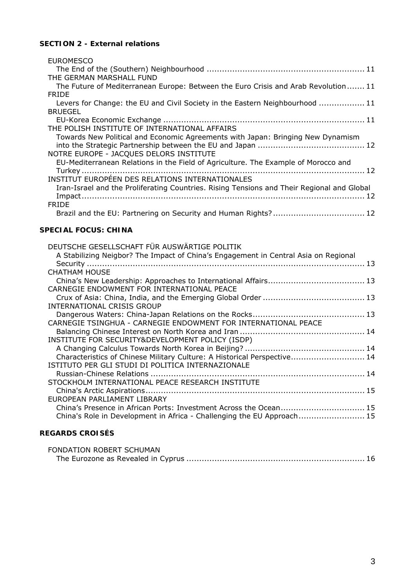## **[SECTION 2 - External relations](#page-10-0)**

| <b>EUROMESCO</b>                                                                           |
|--------------------------------------------------------------------------------------------|
|                                                                                            |
| THE GERMAN MARSHALL FUND                                                                   |
| The Future of Mediterranean Europe: Between the Euro Crisis and Arab Revolution 11         |
| <b>FRIDE</b>                                                                               |
| Levers for Change: the EU and Civil Society in the Eastern Neighbourhood  11               |
| <b>BRUEGEL</b>                                                                             |
|                                                                                            |
| THE POLISH INSTITUTE OF INTERNATIONAL AFFAIRS                                              |
| Towards New Political and Economic Agreements with Japan: Bringing New Dynamism            |
|                                                                                            |
| NOTRE EUROPE - JACQUES DELORS INSTITUTE                                                    |
| EU-Mediterranean Relations in the Field of Agriculture. The Example of Morocco and         |
|                                                                                            |
| INSTITUT EUROPÉEN DES RELATIONS INTERNATIONALES                                            |
| Iran-Israel and the Proliferating Countries. Rising Tensions and Their Regional and Global |
|                                                                                            |
| <b>FRIDE</b>                                                                               |
|                                                                                            |

## **[SPECIAL FOCUS: CHINA](#page-12-0)**

| DEUTSCHE GESELLSCHAFT FÜR AUSWÄRTIGE POLITIK                                        |  |
|-------------------------------------------------------------------------------------|--|
| A Stabilizing Neigbor? The Impact of China's Engagement in Central Asia on Regional |  |
|                                                                                     |  |
| <b>CHATHAM HOUSE</b>                                                                |  |
|                                                                                     |  |
| CARNEGIE ENDOWMENT FOR INTERNATIONAL PEACE                                          |  |
|                                                                                     |  |
| INTERNATIONAL CRISIS GROUP                                                          |  |
|                                                                                     |  |
| CARNEGIE TSINGHUA - CARNEGIE ENDOWMENT FOR INTERNATIONAL PEACE                      |  |
|                                                                                     |  |
| INSTITUTE FOR SECURITY&DEVELOPMENT POLICY (ISDP)                                    |  |
|                                                                                     |  |
| Characteristics of Chinese Military Culture: A Historical Perspective 14            |  |
| ISTITUTO PER GLI STUDI DI POLITICA INTERNAZIONALE                                   |  |
|                                                                                     |  |
| STOCKHOLM INTERNATIONAL PEACE RESEARCH INSTITUTE                                    |  |
|                                                                                     |  |
| EUROPEAN PARLIAMENT LIBRARY                                                         |  |
| China's Presence in African Ports: Investment Across the Ocean 15                   |  |
| China's Role in Development in Africa - Challenging the EU Approach 15              |  |
|                                                                                     |  |

## **[REGARDS CROISÉS](#page-15-0)**

| FONDATION ROBERT SCHUMAN |  |
|--------------------------|--|
|                          |  |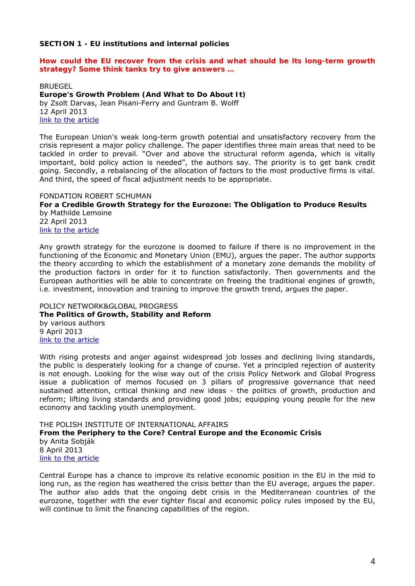#### <span id="page-3-0"></span>**SECTION 1 - EU institutions and internal policies**

*How could the EU recover from the crisis and what should be its long-term growth strategy? Some think tanks try to give answers …* 

<span id="page-3-2"></span><span id="page-3-1"></span>BRUEGEL **Europe's Growth Problem (And What to Do About It)**  by Zsolt Darvas, Jean Pisani-Ferry and Guntram B. Wolff 12 April 2013 [link to the article](http://www.bruegel.org/publications/publication-detail/publication/776-europes-growth-problem-and-what-to-do-about-it/)

The European Union's weak long-term growth potential and unsatisfactory recovery from the crisis represent a major policy challenge. The paper identifies three main areas that need to be tackled in order to prevail. "Over and above the structural reform agenda, which is vitally important, bold policy action is needed", the authors say. The priority is to get bank credit going. Secondly, a rebalancing of the allocation of factors to the most productive firms is vital. And third, the speed of fiscal adjustment needs to be appropriate.

<span id="page-3-4"></span><span id="page-3-3"></span>FONDATION ROBERT SCHUMAN **For a Credible Growth Strategy for the Eurozone: The Obligation to Produce Results**  by Mathilde Lemoine 22 April 2013 [link to the article](http://www.robert-schuman.eu/doc/questions_europe/qe-275-en.pdf)

Any growth strategy for the eurozone is doomed to failure if there is no improvement in the functioning of the Economic and Monetary Union (EMU), argues the paper. The author supports the theory according to which the establishment of a monetary zone demands the mobility of the production factors in order for it to function satisfactorily. Then governments and the European authorities will be able to concentrate on freeing the traditional engines of growth, i.e. investment, innovation and training to improve the growth trend, argues the paper.

<span id="page-3-6"></span><span id="page-3-5"></span>POLICY NETWORK&GLOBAL PROGRESS **The Politics of Growth, Stability and Reform**  by various authors 9 April 2013 [link to the article](http://www.policy-network.net/publications/4361/The-Politics-of-Growth-Stability-and-Reform)

With rising protests and anger against widespread job losses and declining living standards, the public is desperately looking for a change of course. Yet a principled rejection of austerity is not enough. Looking for the wise way out of the crisis Policy Network and Global Progress issue a publication of memos focused on 3 pillars of progressive governance that need sustained attention, critical thinking and new ideas - the politics of growth, production and reform; lifting living standards and providing good jobs; equipping young people for the new economy and tackling youth unemployment.

<span id="page-3-8"></span><span id="page-3-7"></span>THE POLISH INSTITUTE OF INTERNATIONAL AFFAIRS **From the Periphery to the Core? Central Europe and the Economic Crisis**  by Anita Sobják 8 April 2013 [link to the article](http://www.pism.pl/Publications/PISM-Policy-Paper-no-55)

Central Europe has a chance to improve its relative economic position in the EU in the mid to long run, as the region has weathered the crisis better than the EU average, argues the paper. The author also adds that the ongoing debt crisis in the Mediterranean countries of the eurozone, together with the ever tighter fiscal and economic policy rules imposed by the EU, will continue to limit the financing capabilities of the region.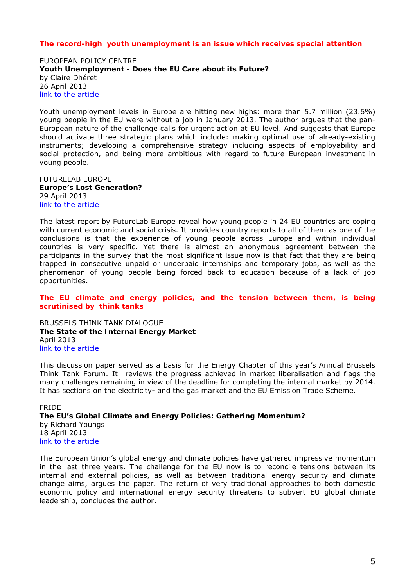#### *The record-high youth unemployment is an issue which receives special attention*

<span id="page-4-1"></span><span id="page-4-0"></span>EUROPEAN POLICY CENTRE **Youth Unemployment - Does the EU Care about its Future?**  by Claire Dhéret 26 April 2013 [link to the article](http://www.epc.eu/documents/uploads/pub_3481_youth_unemployment.pdf)

Youth unemployment levels in Europe are hitting new highs: more than 5.7 million (23.6%) young people in the EU were without a job in January 2013. The author argues that the pan-European nature of the challenge calls for urgent action at EU level. And suggests that Europe should activate three strategic plans which include: making optimal use of already-existing instruments; developing a comprehensive strategy including aspects of employability and social protection, and being more ambitious with regard to future European investment in young people.

<span id="page-4-3"></span><span id="page-4-2"></span>FUTURELAB EUROPE **Europe's Lost Generation?**  29 April 2013 [link to the article](http://www.futurelabeurope.eu/downloads.html?file=files/futurelabeurope/filepool/media/FutureLab_Europe_Report_Lost_Generation_2013.pdf)

The latest report by FutureLab Europe reveal how young people in 24 EU countries are coping with current economic and social crisis. It provides country reports to all of them as one of the conclusions is that the experience of young people across Europe and within individual countries is very specific. Yet there is almost an anonymous agreement between the participants in the survey that the most significant issue now is that fact that they are being trapped in consecutive unpaid or underpaid internships and temporary jobs, as well as the phenomenon of young people being forced back to education because of a lack of job opportunities.

The EU climate and energy policies, and the tension between them, is being *scrutinised by think tanks* 

<span id="page-4-5"></span><span id="page-4-4"></span>BRUSSELS THINK TANK DIALOGUE **The State of the Internal Energy Market**  April 2013 [link to the article](http://www.bruegel.org/fileadmin/bruegel_files/Events/Event_materials/2013/130422_BTTD/The_State_of_the_Internal_Energy_Market_UPDATED.pdf)

This discussion paper served as a basis for the Energy Chapter of this year's Annual Brussels Think Tank Forum. It reviews the progress achieved in market liberalisation and flags the many challenges remaining in view of the deadline for completing the internal market by 2014. It has sections on the electricity- and the gas market and the EU Emission Trade Scheme.

<span id="page-4-7"></span><span id="page-4-6"></span>FRIDE **The EU's Global Climate and Energy Policies: Gathering Momentum?**  by Richard Youngs 18 April 2013 [link to the article](http://www.fride.org/publication/1122/the-eu%E2%80%99s-global-climate-and-energy-policies:-gathering-momentum?)

The European Union's global energy and climate policies have gathered impressive momentum in the last three years. The challenge for the EU now is to reconcile tensions between its internal and external policies, as well as between traditional energy security and climate change aims, argues the paper. The return of very traditional approaches to both domestic economic policy and international energy security threatens to subvert EU global climate leadership, concludes the author.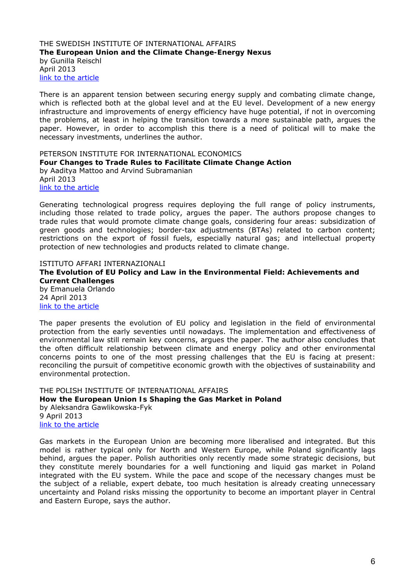#### <span id="page-5-1"></span><span id="page-5-0"></span>THE SWEDISH INSTITUTE OF INTERNATIONAL AFFAIRS **The European Union and the Climate Change-Energy Nexus**  by Gunilla Reischl April 2013 [link to the article](http://www.ui.se/eng/upl/files/88789.pdf)

There is an apparent tension between securing energy supply and combating climate change, which is reflected both at the global level and at the EU level. Development of a new energy infrastructure and improvements of energy efficiency have huge potential, if not in overcoming the problems, at least in helping the transition towards a more sustainable path, argues the paper. However, in order to accomplish this there is a need of political will to make the necessary investments, underlines the author.

<span id="page-5-3"></span><span id="page-5-2"></span>PETERSON INSTITUTE FOR INTERNATIONAL ECONOMICS **Four Changes to Trade Rules to Facilitate Climate Change Action**  by Aaditya Mattoo and Arvind Subramanian April 2013 [link to the article](http://www.iie.com/publications/pb/pb13-10.pdf)

Generating technological progress requires deploying the full range of policy instruments, including those related to trade policy, argues the paper. The authors propose changes to trade rules that would promote climate change goals, considering four areas: subsidization of green goods and technologies; border-tax adjustments (BTAs) related to carbon content; restrictions on the export of fossil fuels, especially natural gas; and intellectual property protection of new technologies and products related to climate change.

<span id="page-5-4"></span>ISTITUTO AFFARI INTERNAZIONALI

<span id="page-5-5"></span>**The Evolution of EU Policy and Law in the Environmental Field: Achievements and Current Challenges**  by Emanuela Orlando 24 April 2013 [link to the article](http://www.iai.it/pdf/Transworld/TW_WP_21.pdf)

The paper presents the evolution of EU policy and legislation in the field of environmental protection from the early seventies until nowadays. The implementation and effectiveness of environmental law still remain key concerns, argues the paper. The author also concludes that the often difficult relationship between climate and energy policy and other environmental concerns points to one of the most pressing challenges that the EU is facing at present: reconciling the pursuit of competitive economic growth with the objectives of sustainability and environmental protection.

<span id="page-5-7"></span><span id="page-5-6"></span>THE POLISH INSTITUTE OF INTERNATIONAL AFFAIRS **How the European Union Is Shaping the Gas Market in Poland**  by Aleksandra Gawlikowska-Fyk 9 April 2013 [link to the article](http://www.pism.pl/Publications/PISM-Policy-Paper-no-56)

Gas markets in the European Union are becoming more liberalised and integrated. But this model is rather typical only for North and Western Europe, while Poland significantly lags behind, argues the paper. Polish authorities only recently made some strategic decisions, but they constitute merely boundaries for a well functioning and liquid gas market in Poland integrated with the EU system. While the pace and scope of the necessary changes must be the subject of a reliable, expert debate, too much hesitation is already creating unnecessary uncertainty and Poland risks missing the opportunity to become an important player in Central and Eastern Europe, says the author.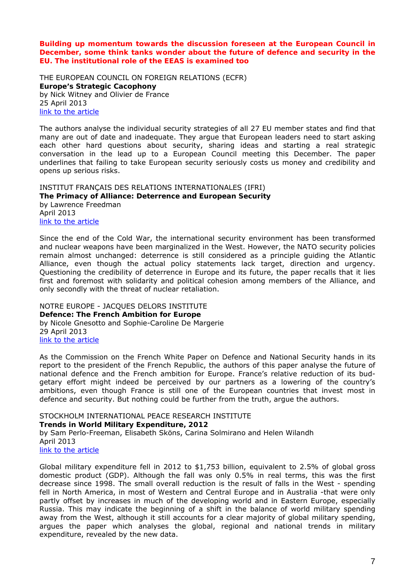*Building up momentum towards the discussion foreseen at the European Council in December, some think tanks wonder about the future of defence and security in the EU. The institutional role of the EEAS is examined too* 

<span id="page-6-1"></span><span id="page-6-0"></span>THE EUROPEAN COUNCIL ON FOREIGN RELATIONS (ECFR) **Europe's Strategic Cacophony**  by Nick Witney and Olivier de France 25 April 2013 [link to the article](http://ecfr.eu/page/-/ECFR77_SECURITY_BRIEF_AW.pdf)

The authors analyse the individual security strategies of all 27 EU member states and find that many are out of date and inadequate. They argue that European leaders need to start asking each other hard questions about security, sharing ideas and starting a real strategic conversation in the lead up to a European Council meeting this December. The paper underlines that failing to take European security seriously costs us money and credibility and opens up serious risks.

<span id="page-6-3"></span><span id="page-6-2"></span>INSTITUT FRANÇAIS DES RELATIONS INTERNATIONALES (IFRI) **The Primacy of Alliance: Deterrence and European Security**  by Lawrence Freedman April 2013 [link to the article](http://www.ifri.org/index.php?page=contribution-detail&id=7654)

Since the end of the Cold War, the international security environment has been transformed and nuclear weapons have been marginalized in the West. However, the NATO security policies remain almost unchanged: deterrence is still considered as a principle guiding the Atlantic Alliance, even though the actual policy statements lack target, direction and urgency. Questioning the credibility of deterrence in Europe and its future, the paper recalls that it lies first and foremost with solidarity and political cohesion among members of the Alliance, and only secondly with the threat of nuclear retaliation.

<span id="page-6-5"></span><span id="page-6-4"></span>NOTRE EUROPE - JACQUES DELORS INSTITUTE **Defence: The French Ambition for Europe**  by Nicole Gnesotto and Sophie-Caroline De Margerie 29 April 2013 [link to the article](http://www.eng.notre-europe.eu/media/whitepaperdefence-gnesottodemargerie-ne-jdi-apri13.pdf)

As the Commission on the French White Paper on Defence and National Security hands in its report to the president of the French Republic, the authors of this paper analyse the future of national defence and the French ambition for Europe. France's relative reduction of its budgetary effort might indeed be perceived by our partners as a lowering of the country's ambitions, even though France is still one of the European countries that invest most in defence and security. But nothing could be further from the truth, argue the authors.

<span id="page-6-7"></span><span id="page-6-6"></span>STOCKHOLM INTERNATIONAL PEACE RESEARCH INSTITUTE **Trends in World Military Expenditure, 2012**  by Sam Perlo-Freeman, Elisabeth Sköns, Carina Solmirano and Helen Wilandh April 2013 [link to the article](http://books.sipri.org/files/FS/SIPRIFS1304.pdf)

Global military expenditure fell in 2012 to \$1,753 billion, equivalent to 2.5% of global gross domestic product (GDP). Although the fall was only 0.5% in real terms, this was the first decrease since 1998. The small overall reduction is the result of falls in the West - spending fell in North America, in most of Western and Central Europe and in Australia -that were only partly offset by increases in much of the developing world and in Eastern Europe, especially Russia. This may indicate the beginning of a shift in the balance of world military spending away from the West, although it still accounts for a clear majority of global military spending, argues the paper which analyses the global, regional and national trends in military expenditure, revealed by the new data.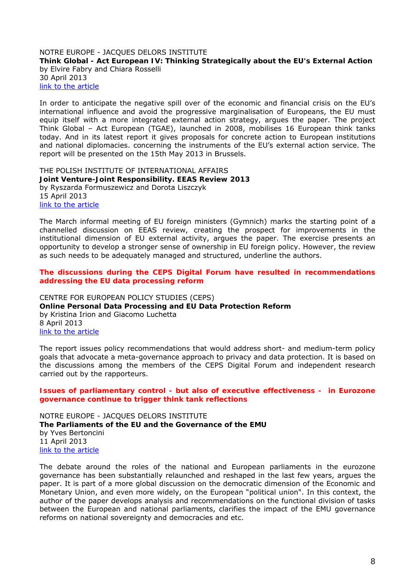<span id="page-7-1"></span><span id="page-7-0"></span>NOTRE EUROPE - JACQUES DELORS INSTITUTE **Think Global - Act European IV: Thinking Strategically about the EU's External Action**  by Elvire Fabry and Chiara Rosselli 30 April 2013 [link to the article](http://www.eng.notre-europe.eu/media/tgae2013.pdf)

In order to anticipate the negative spill over of the economic and financial crisis on the EU's international influence and avoid the progressive marginalisation of Europeans, the EU must equip itself with a more integrated external action strategy, argues the paper. The project Think Global – Act European (TGAE), launched in 2008, mobilises 16 European think tanks today. And in its latest report it gives proposals for concrete action to European institutions and national diplomacies. concerning the instruments of the EU's external action service. The report will be presented on the 15th May 2013 in Brussels.

<span id="page-7-3"></span><span id="page-7-2"></span>THE POLISH INSTITUTE OF INTERNATIONAL AFFAIRS **Joint Venture-Joint Responsibility. EEAS Review 2013**  by Ryszarda Formuszewicz and Dorota Liszczyk 15 April 2013 [link to the article](http://www.pism.pl/Publications/PISM-Strategic-Files/PISM-Strategic-File-no-3-30)

The March informal meeting of EU foreign ministers (Gymnich) marks the starting point of a channelled discussion on EEAS review, creating the prospect for improvements in the institutional dimension of EU external activity, argues the paper. The exercise presents an opportunity to develop a stronger sense of ownership in EU foreign policy. However, the review as such needs to be adequately managed and structured, underline the authors.

*The discussions during the CEPS Digital Forum have resulted in recommendations addressing the EU data processing reform* 

<span id="page-7-5"></span><span id="page-7-4"></span>CENTRE FOR EUROPEAN POLICY STUDIES (CEPS) **Online Personal Data Processing and EU Data Protection Reform**  by Kristina Irion and Giacomo Luchetta 8 April 2013 [link to the article](http://www.ceps.be/ceps/dld/7928/pdf)

The report issues policy recommendations that would address short- and medium-term policy goals that advocate a meta-governance approach to privacy and data protection. It is based on the discussions among the members of the CEPS Digital Forum and independent research carried out by the rapporteurs.

#### *Issues of parliamentary control - but also of executive effectiveness - in Eurozone governance continue to trigger think tank reflections*

<span id="page-7-7"></span><span id="page-7-6"></span>NOTRE EUROPE - JACQUES DELORS INSTITUTE **The Parliaments of the EU and the Governance of the EMU**  by Yves Bertoncini 11 April 2013 [link to the article](http://www.eng.notre-europe.eu/media/parliamentsemugovernance-bertoncini-ne-jdi-apr13.pdf)

The debate around the roles of the national and European parliaments in the eurozone governance has been substantially relaunched and reshaped in the last few years, argues the paper. It is part of a more global discussion on the democratic dimension of the Economic and Monetary Union, and even more widely, on the European "political union". In this context, the author of the paper develops analysis and recommendations on the functional division of tasks between the European and national parliaments, clarifies the impact of the EMU governance reforms on national sovereignty and democracies and etc.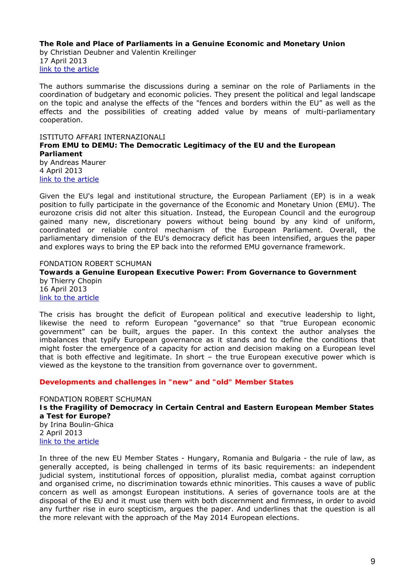<span id="page-8-0"></span>**The Role and Place of Parliaments in a Genuine Economic and Monetary Union**  by Christian Deubner and Valentin Kreilinger 17 April 2013 [link to the article](http://www.eng.notre-europe.eu/media/parliamentsinagenuineemu-deubnerkreilinger-ne-jdi-apr13.pdf)

The authors summarise the discussions during a seminar on the role of Parliaments in the coordination of budgetary and economic policies. They present the political and legal landscape on the topic and analyse the effects of the "fences and borders within the EU" as well as the effects and the possibilities of creating added value by means of multi-parliamentary cooperation.

<span id="page-8-2"></span><span id="page-8-1"></span>ISTITUTO AFFARI INTERNAZIONALI **From EMU to DEMU: The Democratic Legitimacy of the EU and the European Parliament** by Andreas Maurer 4 April 2013 [link to the article](http://www.iai.it/pdf/DocIAI/iaiwp1311.pdf)

Given the EU's legal and institutional structure, the European Parliament (EP) is in a weak position to fully participate in the governance of the Economic and Monetary Union (EMU). The eurozone crisis did not alter this situation. Instead, the European Council and the eurogroup gained many new, discretionary powers without being bound by any kind of uniform, coordinated or reliable control mechanism of the European Parliament. Overall, the parliamentary dimension of the EU's democracy deficit has been intensified, argues the paper and explores ways to bring the EP back into the reformed EMU governance framework.

<span id="page-8-3"></span>FONDATION ROBERT SCHUMAN

<span id="page-8-4"></span>**Towards a Genuine European Executive Power: From Governance to Government**  by Thierry Chopin 16 April 2013 [link to the article](http://www.robert-schuman.eu/doc/questions_europe/qe-274-en.pdf)

The crisis has brought the deficit of European political and executive leadership to light, likewise the need to reform European "governance" so that "true European economic government" can be built, argues the paper. In this context the author analyses the imbalances that typify European governance as it stands and to define the conditions that might foster the emergence of a capacity for action and decision making on a European level that is both effective and legitimate. In short – the true European executive power which is viewed as the keystone to the transition from governance over to government.

*Developments and challenges in "new" and "old" Member States* 

<span id="page-8-6"></span><span id="page-8-5"></span>FONDATION ROBERT SCHUMAN **Is the Fragility of Democracy in Certain Central and Eastern European Member States a Test for Europe?**  by Irina Boulin-Ghica 2 April 2013 [link to the article](http://www.robert-schuman.eu/doc/questions_europe/qe-272-en.pdf)

In three of the new EU Member States - Hungary, Romania and Bulgaria - the rule of law, as generally accepted, is being challenged in terms of its basic requirements: an independent judicial system, institutional forces of opposition, pluralist media, combat against corruption and organised crime, no discrimination towards ethnic minorities. This causes a wave of public concern as well as amongst European institutions. A series of governance tools are at the disposal of the EU and it must use them with both discernment and firmness, in order to avoid any further rise in euro scepticism, argues the paper. And underlines that the question is all the more relevant with the approach of the May 2014 European elections.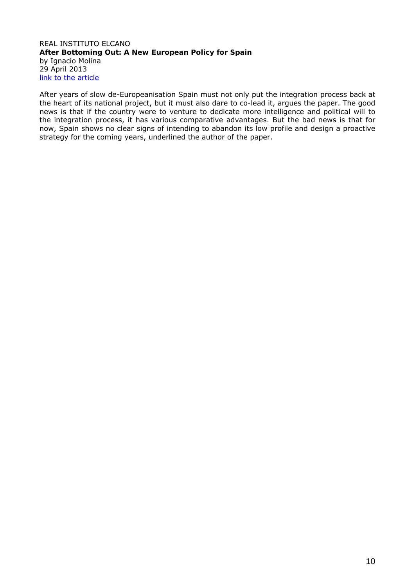#### <span id="page-9-1"></span><span id="page-9-0"></span>REAL INSTITUTO ELCANO **After Bottoming Out: A New European Policy for Spain**  by Ignacio Molina 29 April 2013 [link to the article](http://www.realinstitutoelcano.org/wps/wcm/connect/c8d30e004f6ff676af8cbf206af13b0c/ARI8-2013-Molina-new-European-policy-Spain.pdf?MOD=AJPERES&CACHEID=c8d30e004f6ff676af8cbf206af13b0c)

After years of slow de-Europeanisation Spain must not only put the integration process back at the heart of its national project, but it must also dare to co-lead it, argues the paper. The good news is that if the country were to venture to dedicate more intelligence and political will to the integration process, it has various comparative advantages. But the bad news is that for now, Spain shows no clear signs of intending to abandon its low profile and design a proactive strategy for the coming years, underlined the author of the paper.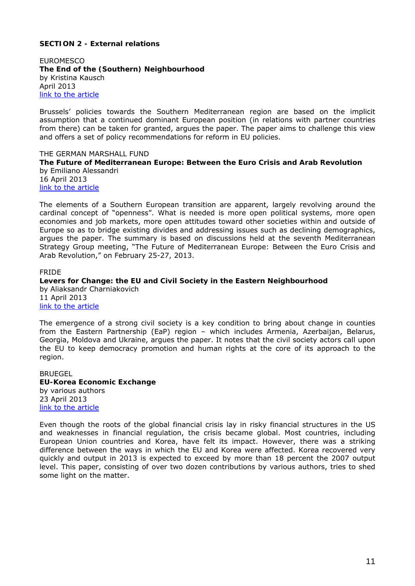#### <span id="page-10-0"></span>**SECTION 2 - External relations**

<span id="page-10-2"></span><span id="page-10-1"></span>**FUROMESCO The End of the (Southern) Neighbourhood**  by Kristina Kausch April 2013 [link to the article](http://www.euromesco.net/images/papers/papersiemed18.pdf)

Brussels' policies towards the Southern Mediterranean region are based on the implicit assumption that a continued dominant European position (in relations with partner countries from there) can be taken for granted, argues the paper. The paper aims to challenge this view and offers a set of policy recommendations for reform in EU policies.

<span id="page-10-4"></span><span id="page-10-3"></span>THE GERMAN MARSHALL FUND **The Future of Mediterranean Europe: Between the Euro Crisis and Arab Revolution**  by Emiliano Alessandri 16 April 2013 [link to the article](http://www.gmfus.org/archives/the-future-of-mediterranean-europe-between-the-euro-crisis-and-arab-revolution/)

The elements of a Southern European transition are apparent, largely revolving around the cardinal concept of "openness". What is needed is more open political systems, more open economies and job markets, more open attitudes toward other societies within and outside of Europe so as to bridge existing divides and addressing issues such as declining demographics, argues the paper. The summary is based on discussions held at the seventh Mediterranean Strategy Group meeting, "The Future of Mediterranean Europe: Between the Euro Crisis and Arab Revolution," on February 25-27, 2013.

<span id="page-10-6"></span><span id="page-10-5"></span>FRIDE **Levers for Change: the EU and Civil Society in the Eastern Neighbourhood**  by Aliaksandr Charniakovich 11 April 2013 [link to the article](http://www.fride.org/publication/1120/levers-for-change:-the-eu-and-civil-society-in-the-eastern-neighbourhood)

The emergence of a strong civil society is a key condition to bring about change in counties from the Eastern Partnership (EaP) region – which includes Armenia, Azerbaijan, Belarus, Georgia, Moldova and Ukraine, argues the paper. It notes that the civil society actors call upon the EU to keep democracy promotion and human rights at the core of its approach to the region.

<span id="page-10-8"></span><span id="page-10-7"></span>BRUEGEL **EU-Korea Economic Exchange**  by various authors 23 April 2013 [link to the article](http://www.bruegel.org/publications/publication-detail/publication/777-eu-korea-economic-exchange/)

Even though the roots of the global financial crisis lay in risky financial structures in the US and weaknesses in financial regulation, the crisis became global. Most countries, including European Union countries and Korea, have felt its impact. However, there was a striking difference between the ways in which the EU and Korea were affected. Korea recovered very quickly and output in 2013 is expected to exceed by more than 18 percent the 2007 output level. This paper, consisting of over two dozen contributions by various authors, tries to shed some light on the matter.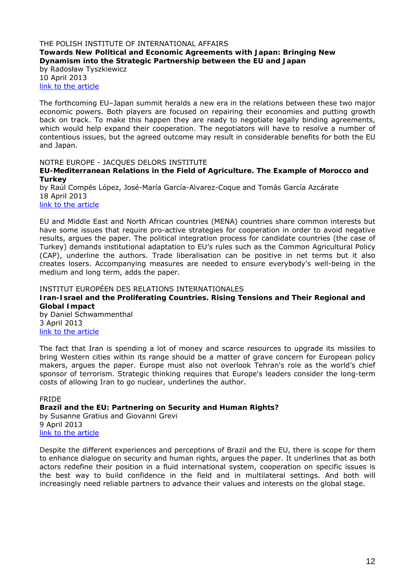#### <span id="page-11-1"></span><span id="page-11-0"></span>THE POLISH INSTITUTE OF INTERNATIONAL AFFAIRS **Towards New Political and Economic Agreements with Japan: Bringing New Dynamism into the Strategic Partnership between the EU and Japan**  by Radosław Tyszkiewicz

10 April 2013 [link to the article](http://www.pism.pl/Publications/PISM-Policy-Paper-no-57)

The forthcoming EU–Japan summit heralds a new era in the relations between these two major economic powers. Both players are focused on repairing their economies and putting growth back on track. To make this happen they are ready to negotiate legally binding agreements, which would help expand their cooperation. The negotiators will have to resolve a number of contentious issues, but the agreed outcome may result in considerable benefits for both the EU and Japan.

<span id="page-11-2"></span>NOTRE EUROPE - JACQUES DELORS INSTITUTE

<span id="page-11-3"></span>**EU-Mediterranean Relations in the Field of Agriculture. The Example of Morocco and Turkey** 

by Raúl Compés López, José-María García-Alvarez-Coque and Tomás García Azcárate 18 April 2013 [link to the article](http://www.eng.notre-europe.eu/media/mediterraneanagriculture-lopezgarciagarcia-ne-jdi-apr13.pdf)

EU and Middle East and North African countries (MENA) countries share common interests but have some issues that require pro-active strategies for cooperation in order to avoid negative results, argues the paper. The political integration process for candidate countries (the case of Turkey) demands institutional adaptation to EU's rules such as the Common Agricultural Policy (CAP), underline the authors. Trade liberalisation can be positive in net terms but it also creates losers. Accompanying measures are needed to ensure everybody's well-being in the medium and long term, adds the paper.

<span id="page-11-5"></span><span id="page-11-4"></span>INSTITUT EUROPÉEN DES RELATIONS INTERNATIONALES **Iran-Israel and the Proliferating Countries. Rising Tensions and Their Regional and Global Impact**  by Daniel Schwammenthal 3 April 2013 [link to the article](http://www.ieri.be/sites/default/files/filefield/news/Iran-Israel%20and%20the%20Proliferating%20Countries%20(Schwammenthal)_0.pdf)

The fact that Iran is spending a lot of money and scarce resources to upgrade its missiles to bring Western cities within its range should be a matter of grave concern for European policy makers, argues the paper. Europe must also not overlook Tehran's role as the world's chief sponsor of terrorism. Strategic thinking requires that Europe's leaders consider the long-term costs of allowing Iran to go nuclear, underlines the author.

<span id="page-11-7"></span><span id="page-11-6"></span>FRIDE **Brazil and the EU: Partnering on Security and Human Rights?**  by Susanne Gratius and Giovanni Grevi 9 April 2013 [link to the article](http://www.fride.org/publication/1118/brazil-and-the-eu:-partnering-on-security-and-human-rights?)

Despite the different experiences and perceptions of Brazil and the EU, there is scope for them to enhance dialogue on security and human rights, argues the paper. It underlines that as both actors redefine their position in a fluid international system, cooperation on specific issues is the best way to build confidence in the field and in multilateral settings. And both will increasingly need reliable partners to advance their values and interests on the global stage.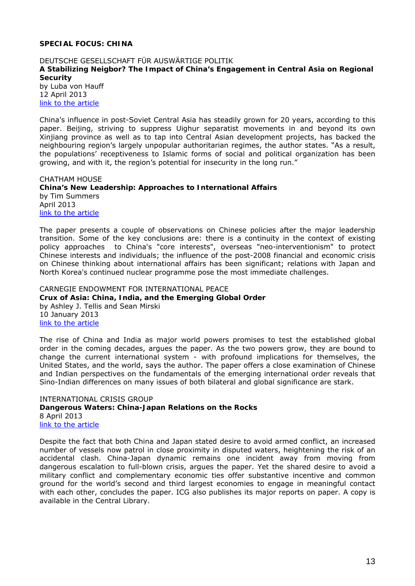#### <span id="page-12-0"></span>**SPECIAL FOCUS: CHINA**

#### <span id="page-12-2"></span><span id="page-12-1"></span>DEUTSCHE GESELLSCHAFT FÜR AUSWÄRTIGE POLITIK **A Stabilizing Neigbor? The Impact of China's Engagement in Central Asia on Regional Security**  by Luba von Hauff 12 April 2013 [link to the article](https://www.dgap.org/en/article/getFullPDF/23597)

China's influence in post-Soviet Central Asia has steadily grown for 20 years, according to this paper. Beijing, striving to suppress Uighur separatist movements in and beyond its own Xinjiang province as well as to tap into Central Asian development projects, has backed the neighbouring region's largely unpopular authoritarian regimes, the author states. "As a result, the populations' receptiveness to Islamic forms of social and political organization has been growing, and with it, the region's potential for insecurity in the long run."

<span id="page-12-4"></span><span id="page-12-3"></span>CHATHAM HOUSE **China's New Leadership: Approaches to International Affairs**  by Tim Summers April 2013 [link to the article](http://www.chathamhouse.org/sites/default/files/public/Research/Asia/0413bp_chinanewleaders.pdf)

The paper presents a couple of observations on Chinese policies after the major leadership transition. Some of the key conclusions are: there is a continuity in the context of existing policy approaches to China's "core interests", overseas "neo-interventionism" to protect Chinese interests and individuals; the influence of the post-2008 financial and economic crisis on Chinese thinking about international affairs has been significant; relations with Japan and North Korea's continued nuclear programme pose the most immediate challenges.

<span id="page-12-6"></span><span id="page-12-5"></span>CARNEGIE ENDOWMENT FOR INTERNATIONAL PEACE **Crux of Asia: China, India, and the Emerging Global Order**  by Ashley J. Tellis and Sean Mirski 10 January 2013 [link to the article](http://www.carnegieendowment.org/files/crux_of_asia.pdf)

The rise of China and India as major world powers promises to test the established global order in the coming decades, argues the paper. As the two powers grow, they are bound to change the current international system - with profound implications for themselves, the United States, and the world, says the author. The paper offers a close examination of Chinese and Indian perspectives on the fundamentals of the emerging international order reveals that Sino-Indian differences on many issues of both bilateral and global significance are stark.

#### <span id="page-12-8"></span><span id="page-12-7"></span>INTERNATIONAL CRISIS GROUP **Dangerous Waters: China-Japan Relations on the Rocks**  8 April 2013 [link to the article](http://www.crisisgroup.org/%7E/media/Files/asia/north-east-asia/245-dangerous-waters-china-japan-relations-on-the-rocks.pdf)

Despite the fact that both China and Japan stated desire to avoid armed conflict, an increased number of vessels now patrol in close proximity in disputed waters, heightening the risk of an accidental clash. China-Japan dynamic remains one incident away from moving from dangerous escalation to full-blown crisis, argues the paper. Yet the shared desire to avoid a military conflict and complementary economic ties offer substantive incentive and common ground for the world's second and third largest economies to engage in meaningful contact with each other, concludes the paper. ICG also publishes its major reports on paper. A copy is available in the Central Library.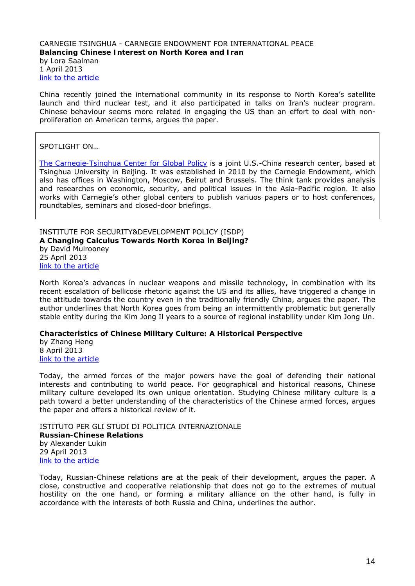#### <span id="page-13-1"></span><span id="page-13-0"></span>CARNEGIE TSINGHUA - CARNEGIE ENDOWMENT FOR INTERNATIONAL PEACE **Balancing Chinese Interest on North Korea and Iran**  by Lora Saalman 1 April 2013 [link to the article](http://www.carnegietsinghua.org/2013/04/01/balancing-chinese-interests-on-north-korea-and-iran/fvbl)

China recently joined the international community in its response to North Korea's satellite launch and third nuclear test, and it also participated in talks on Iran's nuclear program. Chinese behaviour seems more related in engaging the US than an effort to deal with nonproliferation on American terms, argues the paper.

#### SPOTLIGHT ON…

*[The Carnegie-Tsinghua Center for Global Policy](http://www.carnegietsinghua.org/)* is a joint U.S.-China research center, based at Tsinghua University in Beijing. It was established in 2010 by the Carnegie Endowment, which also has offices in Washington, Moscow, Beirut and Brussels. The think tank provides analysis and researches on economic, security, and political issues in the Asia-Pacific region. It also works with Carnegie's other global centers to publish variuos papers or to host conferences, roundtables, seminars and closed-door briefings.

#### <span id="page-13-3"></span><span id="page-13-2"></span>INSTITUTE FOR SECURITY&DEVELOPMENT POLICY (ISDP) **A Changing Calculus Towards North Korea in Beijing?**  by David Mulrooney 25 April 2013 [link to the article](http://www.isdp.eu/images/stories/isdp-main-pdf/2013-mulrooney-changing-calculus-dprk.pdf)

North Korea's advances in nuclear weapons and missile technology, in combination with its recent escalation of bellicose rhetoric against the US and its allies, have triggered a change in the attitude towards the country even in the traditionally friendly China, argues the paper. The author underlines that North Korea goes from being an intermittently problematic but generally stable entity during the Kim Jong Il years to a source of regional instability under Kim Jong Un.

#### <span id="page-13-4"></span>**Characteristics of Chinese Military Culture: A Historical Perspective**

by Zhang Heng 8 April 2013 [link to the article](http://www.isdp.eu/images/stories/isdp-main-pdf/2013-heng-chinese-military-culture.pdf)

Today, the armed forces of the major powers have the goal of defending their national interests and contributing to world peace. For geographical and historical reasons, Chinese military culture developed its own unique orientation. Studying Chinese military culture is a path toward a better understanding of the characteristics of the Chinese armed forces, argues the paper and offers a historical review of it.

#### <span id="page-13-6"></span><span id="page-13-5"></span>ISTITUTO PER GLI STUDI DI POLITICA INTERNAZIONALE **Russian-Chinese Relations**  by Alexander Lukin 29 April 2013 [link to the article](http://www.ispionline.it/sites/default/files/pubblicazioni/analysis_167_2013.pdf)

Today, Russian-Chinese relations are at the peak of their development, argues the paper. A close, constructive and cooperative relationship that does not go to the extremes of mutual hostility on the one hand, or forming a military alliance on the other hand, is fully in accordance with the interests of both Russia and China, underlines the author.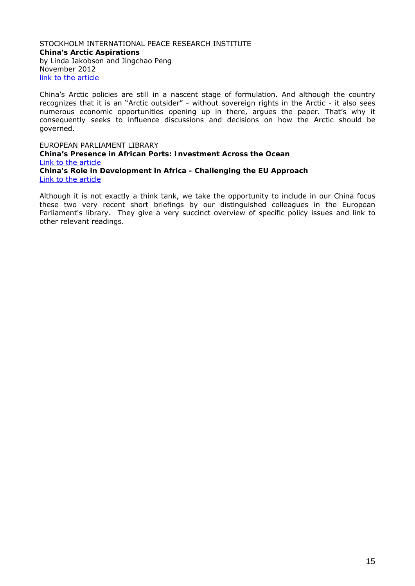#### <span id="page-14-1"></span><span id="page-14-0"></span>STOCKHOLM INTERNATIONAL PEACE RESEARCH INSTITUTE **China's Arctic Aspirations**  by Linda Jakobson and Jingchao Peng November 2012 [link to the article](http://books.sipri.org/files/PP/SIPRIPP34.pdf)

China's Arctic policies are still in a nascent stage of formulation. And although the country recognizes that it is an "Arctic outsider" - without sovereign rights in the Arctic - it also sees numerous economic opportunities opening up in there, argues the paper. That's why it consequently seeks to influence discussions and decisions on how the Arctic should be governed.

#### <span id="page-14-3"></span><span id="page-14-2"></span>EUROPEAN PARLIAMENT LIBRARY **China's Presence in African Ports: Investment Across the Ocean**  [Link to the article](http://libraryeuroparl.wordpress.com/2013/05/13/chinas-presence-in-african-ports-investment-across-the-ocean/) **China's Role in Development in Africa - Challenging the EU Approach**  [Link to the article](http://www.europarl.europa.eu/RegData/bibliotheque/briefing/2013/130521/LDM_BRI(2013)130521_REV1_EN.pdf)

<span id="page-14-4"></span>Although it is not exactly a think tank, we take the opportunity to include in our China focus these two very recent short briefings by our distinguished colleagues in the European Parliament's library. They give a very succinct overview of specific policy issues and link to other relevant readings.